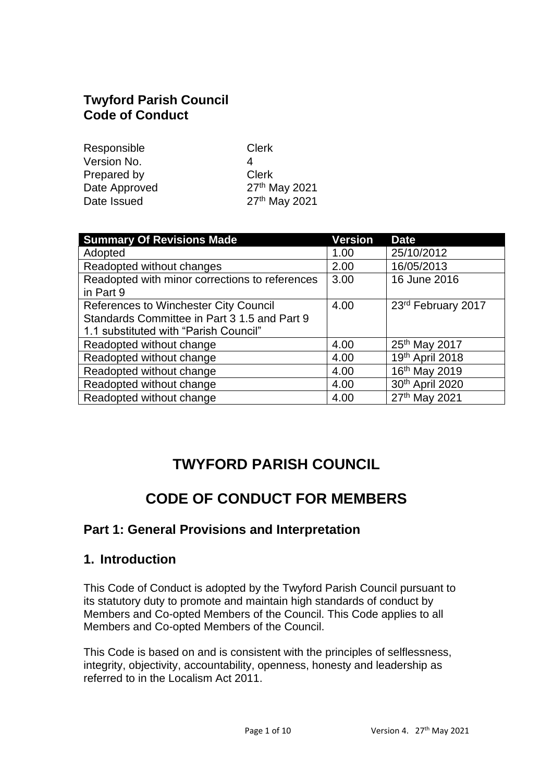## **Twyford Parish Council Code of Conduct**

| Responsible   | <b>Clerk</b>  |
|---------------|---------------|
| Version No.   | Δ             |
| Prepared by   | Clerk         |
| Date Approved | 27th May 2021 |
| Date Issued   | 27th May 2021 |
|               |               |

| <b>Summary Of Revisions Made</b>               | <b>Version</b> | <b>Date</b>               |
|------------------------------------------------|----------------|---------------------------|
| Adopted                                        | 1.00           | 25/10/2012                |
| Readopted without changes                      | 2.00           | 16/05/2013                |
| Readopted with minor corrections to references | 3.00           | 16 June 2016              |
| in Part 9                                      |                |                           |
| <b>References to Winchester City Council</b>   | 4.00           | 23rd February 2017        |
| Standards Committee in Part 3 1.5 and Part 9   |                |                           |
| 1.1 substituted with "Parish Council"          |                |                           |
| Readopted without change                       | 4.00           | 25th May 2017             |
| Readopted without change                       | 4.00           | 19th April 2018           |
| Readopted without change                       | 4.00           | 16 <sup>th</sup> May 2019 |
| Readopted without change                       | 4.00           | 30th April 2020           |
| Readopted without change                       | 4.00           | 27th May 2021             |

# **TWYFORD PARISH COUNCIL**

# **CODE OF CONDUCT FOR MEMBERS**

## **Part 1: General Provisions and Interpretation**

### **1. Introduction**

This Code of Conduct is adopted by the Twyford Parish Council pursuant to its statutory duty to promote and maintain high standards of conduct by Members and Co-opted Members of the Council. This Code applies to all Members and Co-opted Members of the Council.

This Code is based on and is consistent with the principles of selflessness, integrity, objectivity, accountability, openness, honesty and leadership as referred to in the Localism Act 2011.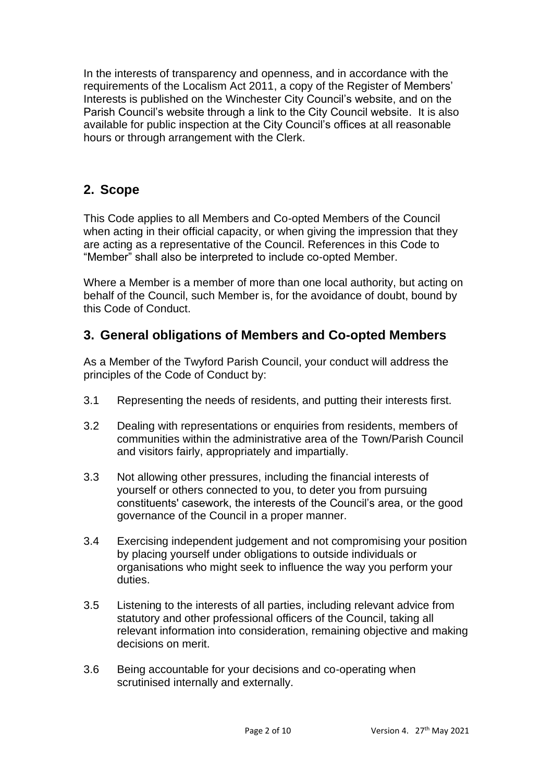In the interests of transparency and openness, and in accordance with the requirements of the Localism Act 2011, a copy of the Register of Members' Interests is published on the Winchester City Council's website, and on the Parish Council's website through a link to the City Council website. It is also available for public inspection at the City Council's offices at all reasonable hours or through arrangement with the Clerk.

## **2. Scope**

This Code applies to all Members and Co-opted Members of the Council when acting in their official capacity, or when giving the impression that they are acting as a representative of the Council. References in this Code to "Member" shall also be interpreted to include co-opted Member.

Where a Member is a member of more than one local authority, but acting on behalf of the Council, such Member is, for the avoidance of doubt, bound by this Code of Conduct.

## **3. General obligations of Members and Co-opted Members**

As a Member of the Twyford Parish Council, your conduct will address the principles of the Code of Conduct by:

- 3.1 Representing the needs of residents, and putting their interests first.
- 3.2 Dealing with representations or enquiries from residents, members of communities within the administrative area of the Town/Parish Council and visitors fairly, appropriately and impartially.
- 3.3 Not allowing other pressures, including the financial interests of yourself or others connected to you, to deter you from pursuing constituents' casework, the interests of the Council's area, or the good governance of the Council in a proper manner.
- 3.4 Exercising independent judgement and not compromising your position by placing yourself under obligations to outside individuals or organisations who might seek to influence the way you perform your duties.
- 3.5 Listening to the interests of all parties, including relevant advice from statutory and other professional officers of the Council, taking all relevant information into consideration, remaining objective and making decisions on merit.
- 3.6 Being accountable for your decisions and co-operating when scrutinised internally and externally.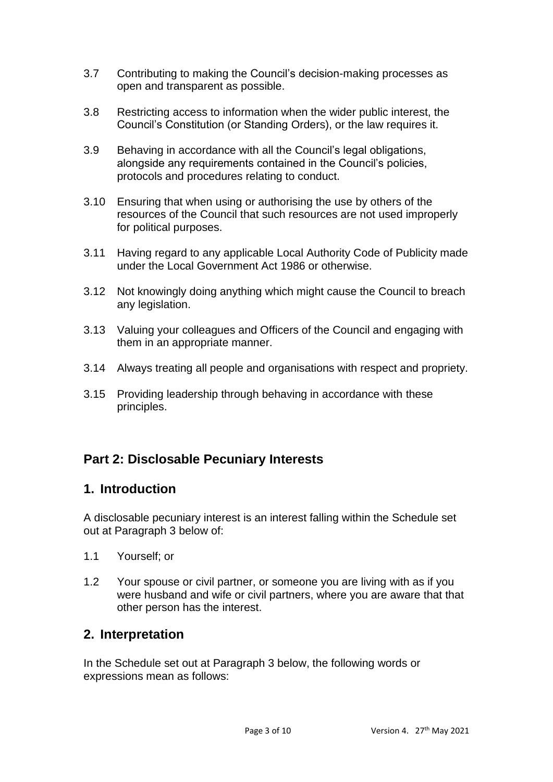- 3.7 Contributing to making the Council's decision-making processes as open and transparent as possible.
- 3.8 Restricting access to information when the wider public interest, the Council's Constitution (or Standing Orders), or the law requires it.
- 3.9 Behaving in accordance with all the Council's legal obligations, alongside any requirements contained in the Council's policies, protocols and procedures relating to conduct.
- 3.10 Ensuring that when using or authorising the use by others of the resources of the Council that such resources are not used improperly for political purposes.
- 3.11 Having regard to any applicable Local Authority Code of Publicity made under the Local Government Act 1986 or otherwise.
- 3.12 Not knowingly doing anything which might cause the Council to breach any legislation.
- 3.13 Valuing your colleagues and Officers of the Council and engaging with them in an appropriate manner.
- 3.14 Always treating all people and organisations with respect and propriety.
- 3.15 Providing leadership through behaving in accordance with these principles.

## **Part 2: Disclosable Pecuniary Interests**

## **1. Introduction**

A disclosable pecuniary interest is an interest falling within the Schedule set out at Paragraph 3 below of:

- 1.1 Yourself; or
- 1.2 Your spouse or civil partner, or someone you are living with as if you were husband and wife or civil partners, where you are aware that that other person has the interest.

## **2. Interpretation**

In the Schedule set out at Paragraph 3 below, the following words or expressions mean as follows: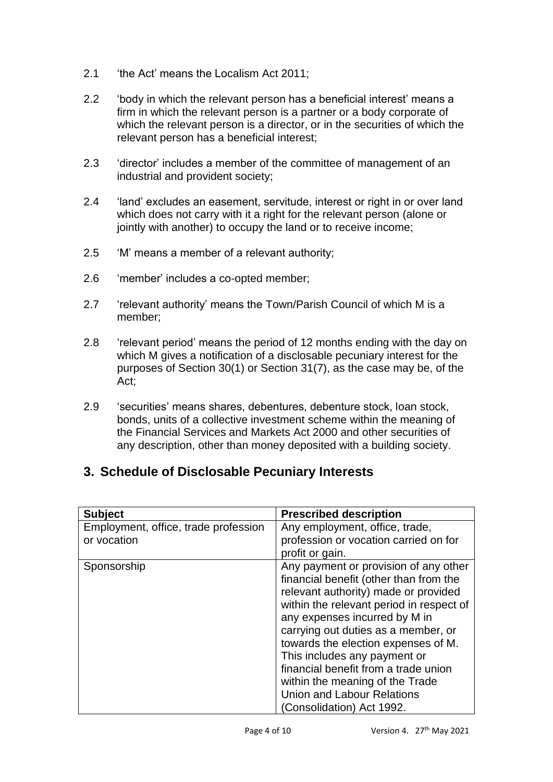- 2.1 'the Act' means the Localism Act 2011;
- 2.2 'body in which the relevant person has a beneficial interest' means a firm in which the relevant person is a partner or a body corporate of which the relevant person is a director, or in the securities of which the relevant person has a beneficial interest;
- 2.3 'director' includes a member of the committee of management of an industrial and provident society;
- 2.4 'land' excludes an easement, servitude, interest or right in or over land which does not carry with it a right for the relevant person (alone or jointly with another) to occupy the land or to receive income;
- 2.5 'M' means a member of a relevant authority;
- 2.6 'member' includes a co-opted member;
- 2.7 'relevant authority' means the Town/Parish Council of which M is a member;
- 2.8 'relevant period' means the period of 12 months ending with the day on which M gives a notification of a disclosable pecuniary interest for the purposes of Section 30(1) or Section 31(7), as the case may be, of the Act;
- 2.9 'securities' means shares, debentures, debenture stock, loan stock, bonds, units of a collective investment scheme within the meaning of the Financial Services and Markets Act 2000 and other securities of any description, other than money deposited with a building society.

## **3. Schedule of Disclosable Pecuniary Interests**

| <b>Subject</b>                                      | <b>Prescribed description</b>                                                                                                                                                                                                                                                                                                                                                                                                                                   |
|-----------------------------------------------------|-----------------------------------------------------------------------------------------------------------------------------------------------------------------------------------------------------------------------------------------------------------------------------------------------------------------------------------------------------------------------------------------------------------------------------------------------------------------|
| Employment, office, trade profession<br>or vocation | Any employment, office, trade,<br>profession or vocation carried on for<br>profit or gain.                                                                                                                                                                                                                                                                                                                                                                      |
| Sponsorship                                         | Any payment or provision of any other<br>financial benefit (other than from the<br>relevant authority) made or provided<br>within the relevant period in respect of<br>any expenses incurred by M in<br>carrying out duties as a member, or<br>towards the election expenses of M.<br>This includes any payment or<br>financial benefit from a trade union<br>within the meaning of the Trade<br><b>Union and Labour Relations</b><br>(Consolidation) Act 1992. |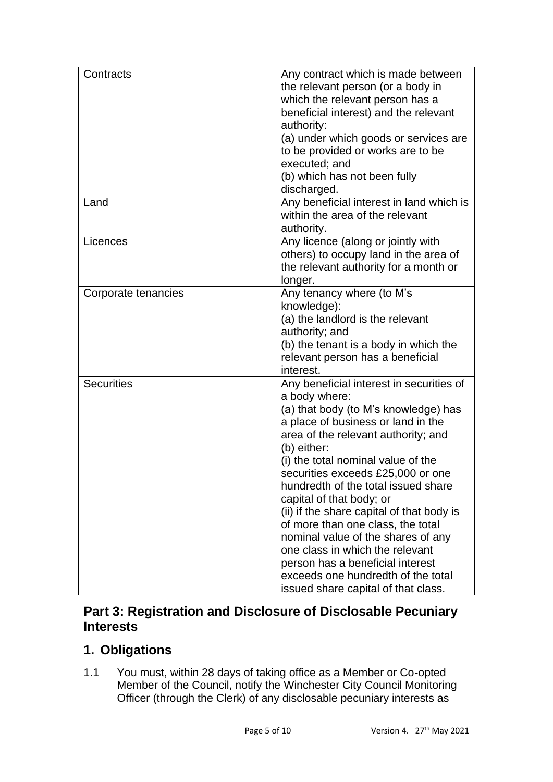| Contracts           | Any contract which is made between<br>the relevant person (or a body in<br>which the relevant person has a<br>beneficial interest) and the relevant<br>authority:<br>(a) under which goods or services are<br>to be provided or works are to be<br>executed; and<br>(b) which has not been fully<br>discharged.                                                                                                                                                                                                                                                                                                         |
|---------------------|-------------------------------------------------------------------------------------------------------------------------------------------------------------------------------------------------------------------------------------------------------------------------------------------------------------------------------------------------------------------------------------------------------------------------------------------------------------------------------------------------------------------------------------------------------------------------------------------------------------------------|
| Land                | Any beneficial interest in land which is<br>within the area of the relevant<br>authority.                                                                                                                                                                                                                                                                                                                                                                                                                                                                                                                               |
| Licences            | Any licence (along or jointly with<br>others) to occupy land in the area of<br>the relevant authority for a month or<br>longer.                                                                                                                                                                                                                                                                                                                                                                                                                                                                                         |
| Corporate tenancies | Any tenancy where (to M's<br>knowledge):<br>(a) the landlord is the relevant<br>authority; and<br>(b) the tenant is a body in which the<br>relevant person has a beneficial<br>interest.                                                                                                                                                                                                                                                                                                                                                                                                                                |
| <b>Securities</b>   | Any beneficial interest in securities of<br>a body where:<br>(a) that body (to M's knowledge) has<br>a place of business or land in the<br>area of the relevant authority; and<br>(b) either:<br>(i) the total nominal value of the<br>securities exceeds £25,000 or one<br>hundredth of the total issued share<br>capital of that body; or<br>(ii) if the share capital of that body is<br>of more than one class, the total<br>nominal value of the shares of any<br>one class in which the relevant<br>person has a beneficial interest<br>exceeds one hundredth of the total<br>issued share capital of that class. |

## **Part 3: Registration and Disclosure of Disclosable Pecuniary Interests**

## **1. Obligations**

1.1 You must, within 28 days of taking office as a Member or Co-opted Member of the Council, notify the Winchester City Council Monitoring Officer (through the Clerk) of any disclosable pecuniary interests as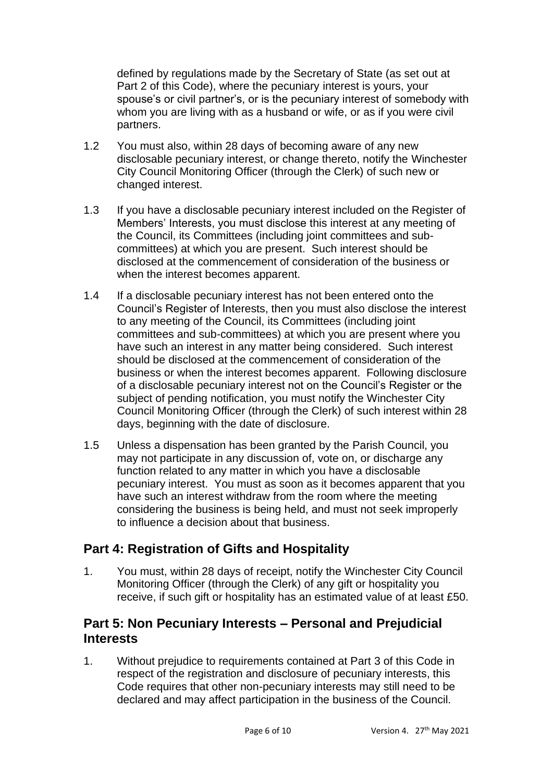defined by regulations made by the Secretary of State (as set out at Part 2 of this Code), where the pecuniary interest is yours, your spouse's or civil partner's, or is the pecuniary interest of somebody with whom you are living with as a husband or wife, or as if you were civil partners.

- 1.2 You must also, within 28 days of becoming aware of any new disclosable pecuniary interest, or change thereto, notify the Winchester City Council Monitoring Officer (through the Clerk) of such new or changed interest.
- 1.3 If you have a disclosable pecuniary interest included on the Register of Members' Interests, you must disclose this interest at any meeting of the Council, its Committees (including joint committees and subcommittees) at which you are present. Such interest should be disclosed at the commencement of consideration of the business or when the interest becomes apparent.
- 1.4 If a disclosable pecuniary interest has not been entered onto the Council's Register of Interests, then you must also disclose the interest to any meeting of the Council, its Committees (including joint committees and sub-committees) at which you are present where you have such an interest in any matter being considered. Such interest should be disclosed at the commencement of consideration of the business or when the interest becomes apparent. Following disclosure of a disclosable pecuniary interest not on the Council's Register or the subject of pending notification, you must notify the Winchester City Council Monitoring Officer (through the Clerk) of such interest within 28 days, beginning with the date of disclosure.
- 1.5 Unless a dispensation has been granted by the Parish Council, you may not participate in any discussion of, vote on, or discharge any function related to any matter in which you have a disclosable pecuniary interest. You must as soon as it becomes apparent that you have such an interest withdraw from the room where the meeting considering the business is being held, and must not seek improperly to influence a decision about that business.

## **Part 4: Registration of Gifts and Hospitality**

1. You must, within 28 days of receipt, notify the Winchester City Council Monitoring Officer (through the Clerk) of any gift or hospitality you receive, if such gift or hospitality has an estimated value of at least £50.

## **Part 5: Non Pecuniary Interests – Personal and Prejudicial Interests**

1. Without prejudice to requirements contained at Part 3 of this Code in respect of the registration and disclosure of pecuniary interests, this Code requires that other non-pecuniary interests may still need to be declared and may affect participation in the business of the Council.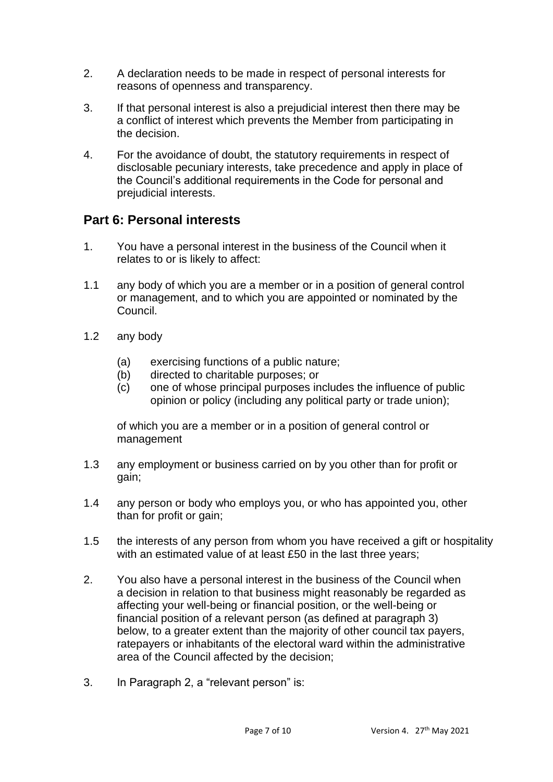- 2. A declaration needs to be made in respect of personal interests for reasons of openness and transparency.
- 3. If that personal interest is also a prejudicial interest then there may be a conflict of interest which prevents the Member from participating in the decision.
- 4. For the avoidance of doubt, the statutory requirements in respect of disclosable pecuniary interests, take precedence and apply in place of the Council's additional requirements in the Code for personal and prejudicial interests.

## **Part 6: Personal interests**

- 1. You have a personal interest in the business of the Council when it relates to or is likely to affect:
- 1.1 any body of which you are a member or in a position of general control or management, and to which you are appointed or nominated by the Council.
- 1.2 any body
	- (a) exercising functions of a public nature;
	- (b) directed to charitable purposes; or
	- (c) one of whose principal purposes includes the influence of public opinion or policy (including any political party or trade union);

of which you are a member or in a position of general control or management

- 1.3 any employment or business carried on by you other than for profit or gain;
- 1.4 any person or body who employs you, or who has appointed you, other than for profit or gain;
- 1.5 the interests of any person from whom you have received a gift or hospitality with an estimated value of at least £50 in the last three years:
- 2. You also have a personal interest in the business of the Council when a decision in relation to that business might reasonably be regarded as affecting your well-being or financial position, or the well-being or financial position of a relevant person (as defined at paragraph 3) below, to a greater extent than the majority of other council tax payers, ratepayers or inhabitants of the electoral ward within the administrative area of the Council affected by the decision;
- 3. In Paragraph 2, a "relevant person" is: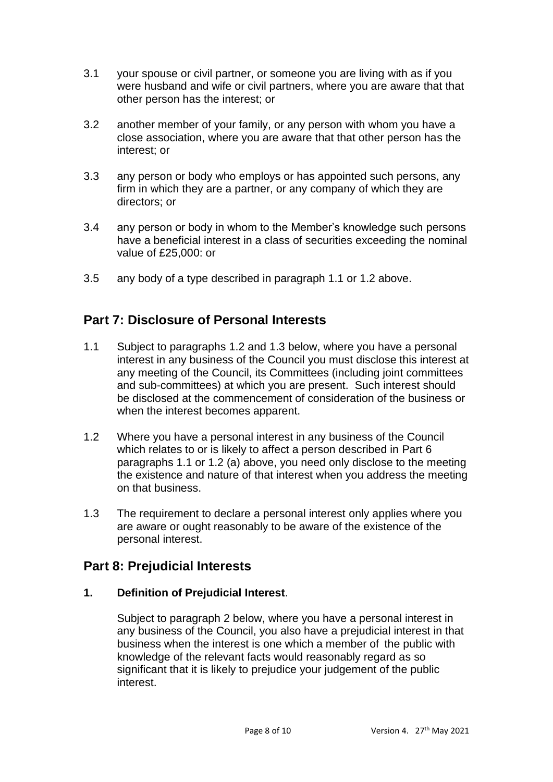- 3.1 your spouse or civil partner, or someone you are living with as if you were husband and wife or civil partners, where you are aware that that other person has the interest; or
- 3.2 another member of your family, or any person with whom you have a close association, where you are aware that that other person has the interest; or
- 3.3 any person or body who employs or has appointed such persons, any firm in which they are a partner, or any company of which they are directors; or
- 3.4 any person or body in whom to the Member's knowledge such persons have a beneficial interest in a class of securities exceeding the nominal value of £25,000: or
- 3.5 any body of a type described in paragraph 1.1 or 1.2 above.

## **Part 7: Disclosure of Personal Interests**

- 1.1 Subject to paragraphs 1.2 and 1.3 below, where you have a personal interest in any business of the Council you must disclose this interest at any meeting of the Council, its Committees (including joint committees and sub-committees) at which you are present. Such interest should be disclosed at the commencement of consideration of the business or when the interest becomes apparent.
- 1.2 Where you have a personal interest in any business of the Council which relates to or is likely to affect a person described in Part 6 paragraphs 1.1 or 1.2 (a) above, you need only disclose to the meeting the existence and nature of that interest when you address the meeting on that business.
- 1.3 The requirement to declare a personal interest only applies where you are aware or ought reasonably to be aware of the existence of the personal interest.

### **Part 8: Prejudicial Interests**

#### **1. Definition of Prejudicial Interest**.

Subject to paragraph 2 below, where you have a personal interest in any business of the Council, you also have a prejudicial interest in that business when the interest is one which a member of the public with knowledge of the relevant facts would reasonably regard as so significant that it is likely to prejudice your judgement of the public interest.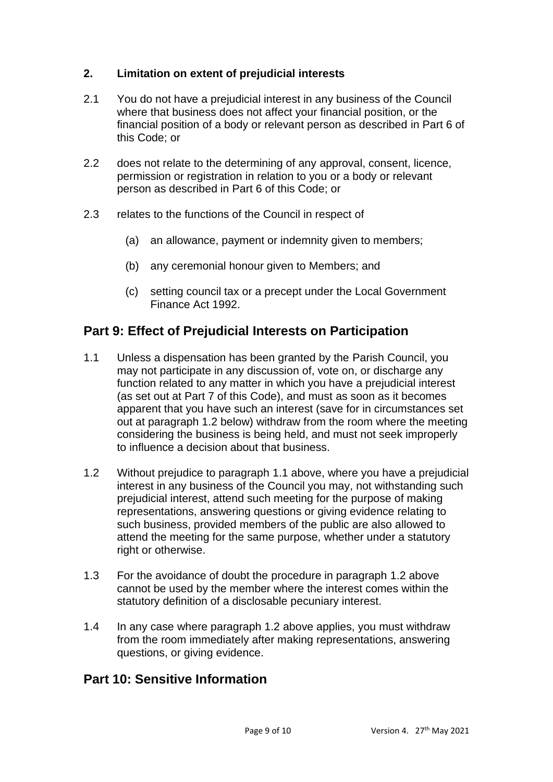#### **2. Limitation on extent of prejudicial interests**

- 2.1 You do not have a prejudicial interest in any business of the Council where that business does not affect your financial position, or the financial position of a body or relevant person as described in Part 6 of this Code; or
- 2.2 does not relate to the determining of any approval, consent, licence, permission or registration in relation to you or a body or relevant person as described in Part 6 of this Code; or
- 2.3 relates to the functions of the Council in respect of
	- (a) an allowance, payment or indemnity given to members;
	- (b) any ceremonial honour given to Members; and
	- (c) setting council tax or a precept under the Local Government Finance Act 1992.

### **Part 9: Effect of Prejudicial Interests on Participation**

- 1.1 Unless a dispensation has been granted by the Parish Council, you may not participate in any discussion of, vote on, or discharge any function related to any matter in which you have a prejudicial interest (as set out at Part 7 of this Code), and must as soon as it becomes apparent that you have such an interest (save for in circumstances set out at paragraph 1.2 below) withdraw from the room where the meeting considering the business is being held, and must not seek improperly to influence a decision about that business.
- 1.2 Without prejudice to paragraph 1.1 above, where you have a prejudicial interest in any business of the Council you may, not withstanding such prejudicial interest, attend such meeting for the purpose of making representations, answering questions or giving evidence relating to such business, provided members of the public are also allowed to attend the meeting for the same purpose, whether under a statutory right or otherwise.
- 1.3 For the avoidance of doubt the procedure in paragraph 1.2 above cannot be used by the member where the interest comes within the statutory definition of a disclosable pecuniary interest.
- 1.4 In any case where paragraph 1.2 above applies, you must withdraw from the room immediately after making representations, answering questions, or giving evidence.

### **Part 10: Sensitive Information**